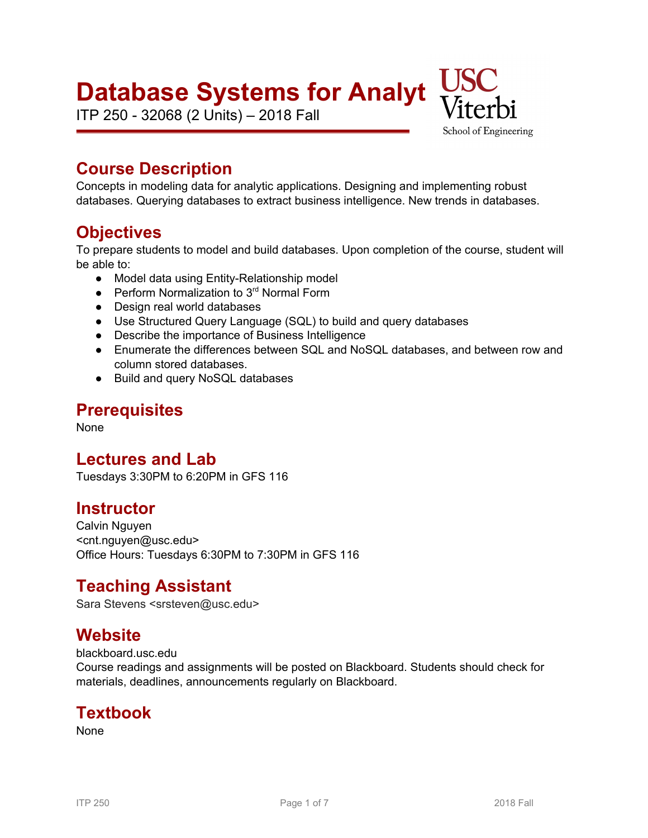# **Database Systems for Analyt**

ITP 250 - 32068 (2 Units) – 2018 Fall



# **Course Description**

Concepts in modeling data for analytic applications. Designing and implementing robust databases. Querying databases to extract business intelligence. New trends in databases.

# **Objectives**

To prepare students to model and build databases. Upon completion of the course, student will be able to:

- Model data using Entity-Relationship model
- Perform Normalization to 3<sup>rd</sup> Normal Form
- Design real world databases
- Use Structured Query Language (SQL) to build and query databases
- Describe the importance of Business Intelligence
- Enumerate the differences between SQL and NoSQL databases, and between row and column stored databases.
- Build and query NoSQL databases

# **Prerequisites**

None

# **Lectures and Lab**

Tuesdays 3:30PM to 6:20PM in GFS 116

# **Instructor**

Calvin Nguyen <cnt.nguyen@usc.edu> Office Hours: Tuesdays 6:30PM to 7:30PM in GFS 116

# **Teaching Assistant**

Sara Stevens <srsteven@usc.edu>

# **Website**

blackboard.usc.edu

Course readings and assignments will be posted on Blackboard. Students should check for materials, deadlines, announcements regularly on Blackboard.

# **Textbook**

None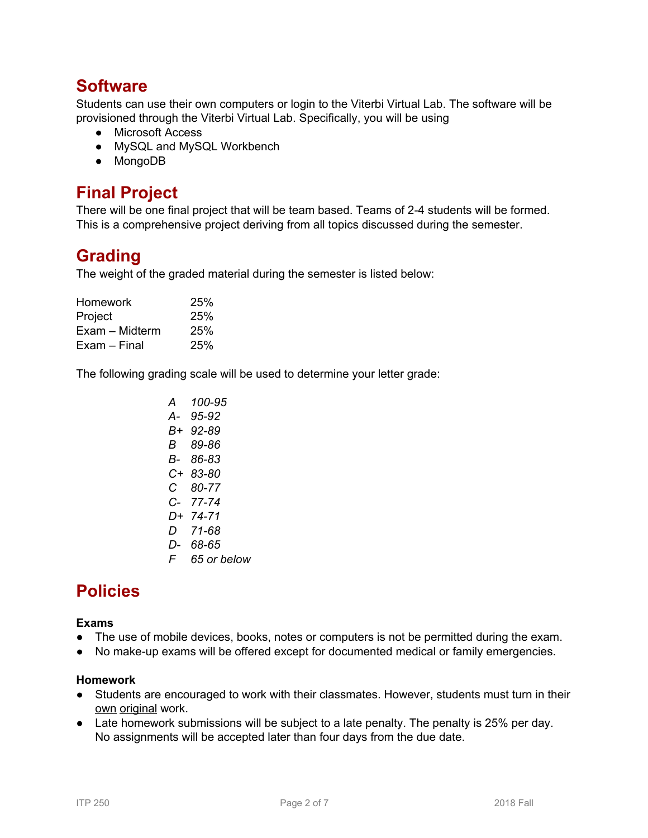# **Software**

Students can use their own computers or login to the Viterbi Virtual Lab. The software will be provisioned through the Viterbi Virtual Lab. Specifically, you will be using

- Microsoft Access
- MySQL and MySQL Workbench
- MongoDB

# **Final Project**

There will be one final project that will be team based. Teams of 2-4 students will be formed. This is a comprehensive project deriving from all topics discussed during the semester.

# **Grading**

The weight of the graded material during the semester is listed below:

| 25% |
|-----|
| 25% |
| 25% |
| 25% |
|     |

The following grading scale will be used to determine your letter grade:

| A  | 100-95      |
|----|-------------|
| А- | 95-92       |
| B+ | 92-89       |
| В  | 89-86       |
| B- | 86-83       |
| C+ | 83-80       |
| C. | 80-77       |
| C- | 77-74       |
| D+ | 74-71       |
| D. | 71-68       |
| D- | 68-65       |
| F. | 65 or below |

# **Policies**

### **Exams**

- The use of mobile devices, books, notes or computers is not be permitted during the exam.
- No make-up exams will be offered except for documented medical or family emergencies.

#### **Homework**

- **●** Students are encouraged to work with their classmates. However, students must turn in their own original work.
- **●** Late homework submissions will be subject to a late penalty. The penalty is 25% per day. No assignments will be accepted later than four days from the due date.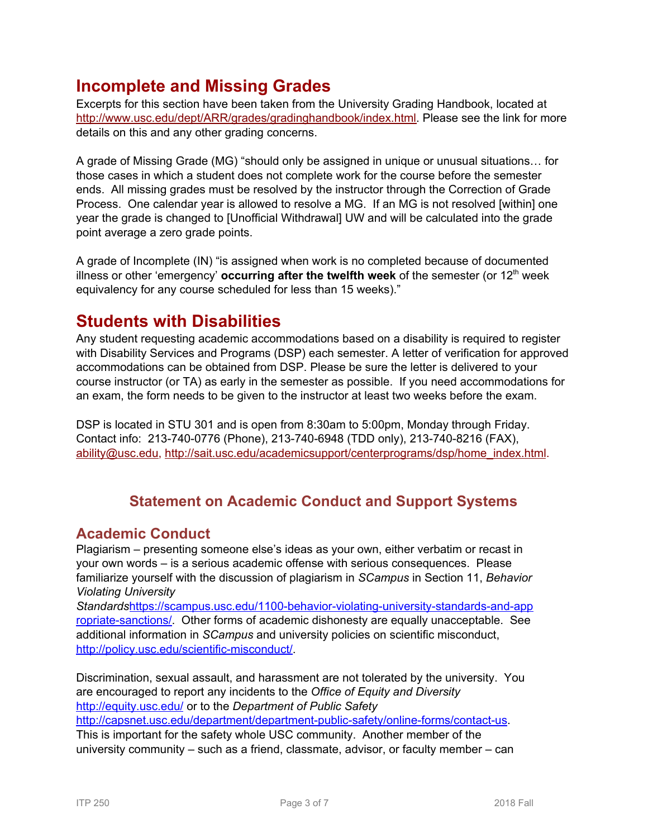# **Incomplete and Missing Grades**

Excerpts for this section have been taken from the University Grading Handbook, located at [http://www.usc.edu/dept/ARR/grades/gradinghandbook/index.html.](http://www.usc.edu/dept/ARR/grades/gradinghandbook/index.html) Please see the link for more details on this and any other grading concerns.

A grade of Missing Grade (MG) "should only be assigned in unique or unusual situations… for those cases in which a student does not complete work for the course before the semester ends. All missing grades must be resolved by the instructor through the Correction of Grade Process. One calendar year is allowed to resolve a MG. If an MG is not resolved [within] one year the grade is changed to [Unofficial Withdrawal] UW and will be calculated into the grade point average a zero grade points.

A grade of Incomplete (IN) "is assigned when work is no completed because of documented illness or other 'emergency' **occurring after the twelfth week** of the semester (or 12 th week equivalency for any course scheduled for less than 15 weeks)."

# **Students with Disabilities**

Any student requesting academic accommodations based on a disability is required to register with Disability Services and Programs (DSP) each semester. A letter of verification for approved accommodations can be obtained from DSP. Please be sure the letter is delivered to your course instructor (or TA) as early in the semester as possible. If you need accommodations for an exam, the form needs to be given to the instructor at least two weeks before the exam.

DSP is located in STU 301 and is open from 8:30am to 5:00pm, Monday through Friday. Contact info: 213-740-0776 (Phone), 213-740-6948 (TDD only), 213-740-8216 (FAX), [ability@usc.edu,](mailto:ability@usc.edu) [http://sait.usc.edu/academicsupport/centerprograms/dsp/home\\_index.html](http://sait.usc.edu/academicsupport/centerprograms/dsp/home_index.html).

# **Statement on Academic Conduct and Support Systems**

### **Academic Conduct**

Plagiarism – presenting someone else's ideas as your own, either verbatim or recast in your own words – is a serious academic offense with serious consequences. Please familiarize yourself with the discussion of plagiarism in *SCampus* in Section 11, *Behavior Violating University*

*Standards*[https://scampus.usc.edu/1100-behavior-violating-university-standards-and-app](https://scampus.usc.edu/1100-behavior-violating-university-standards-and-appropriate-sanctions/) [ropriate-sanctions/.](https://scampus.usc.edu/1100-behavior-violating-university-standards-and-appropriate-sanctions/) Other forms of academic dishonesty are equally unacceptable. See additional information in *SCampus* and university policies on scientific misconduct, [http://policy.usc.edu/scientific-misconduct/.](http://policy.usc.edu/scientific-misconduct/)

Discrimination, sexual assault, and harassment are not tolerated by the university. You are encouraged to report any incidents to the *Office of Equity and Diversity* <http://equity.usc.edu/> or to the *Department of Public Safety*

<http://capsnet.usc.edu/department/department-public-safety/online-forms/contact-us>. This is important for the safety whole USC community. Another member of the

university community – such as a friend, classmate, advisor, or faculty member – can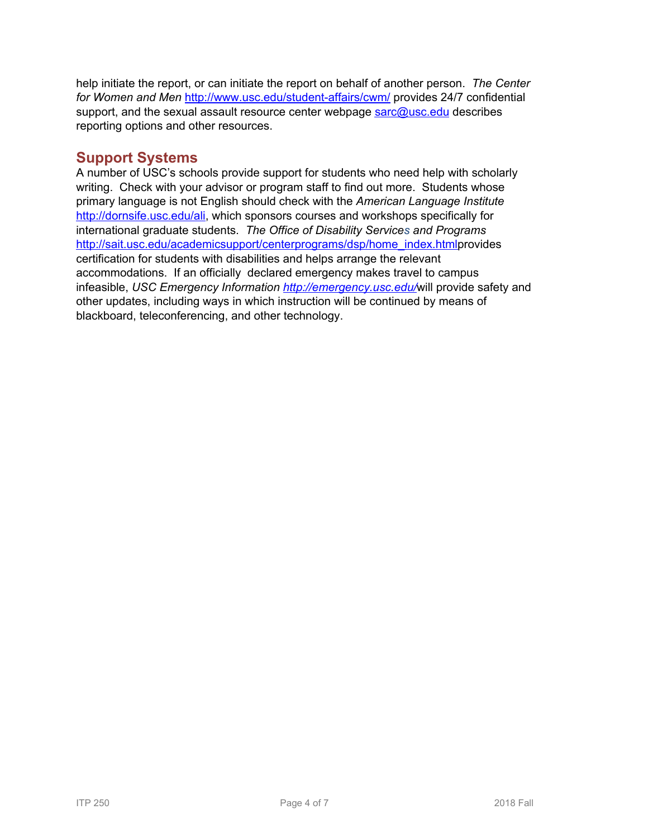help initiate the report, or can initiate the report on behalf of another person. *The Center for Women and Men* <http://www.usc.edu/student-affairs/cwm/> provides 24/7 confidential support, and the sexual assault resource center webpage [sarc@usc.edu](mailto:sarc@usc.edu) describes reporting options and other resources.

### **Support Systems**

A number of USC's schools provide support for students who need help with scholarly writing. Check with your advisor or program staff to find out more. Students whose primary language is not English should check with the *American Language Institute* <http://dornsife.usc.edu/ali>, which sponsors courses and workshops specifically for international graduate students. *The Office of Disability Services and Programs* [http://sait.usc.edu/academicsupport/centerprograms/dsp/home\\_index.htmlp](http://sait.usc.edu/academicsupport/centerprograms/dsp/home_index.html)rovides certification for students with disabilities and helps arrange the relevant accommodations. If an officially declared emergency makes travel to campus infeasible, *USC Emergency Information <http://emergency.usc.edu/>*will provide safety and other updates, including ways in which instruction will be continued by means of blackboard, teleconferencing, and other technology.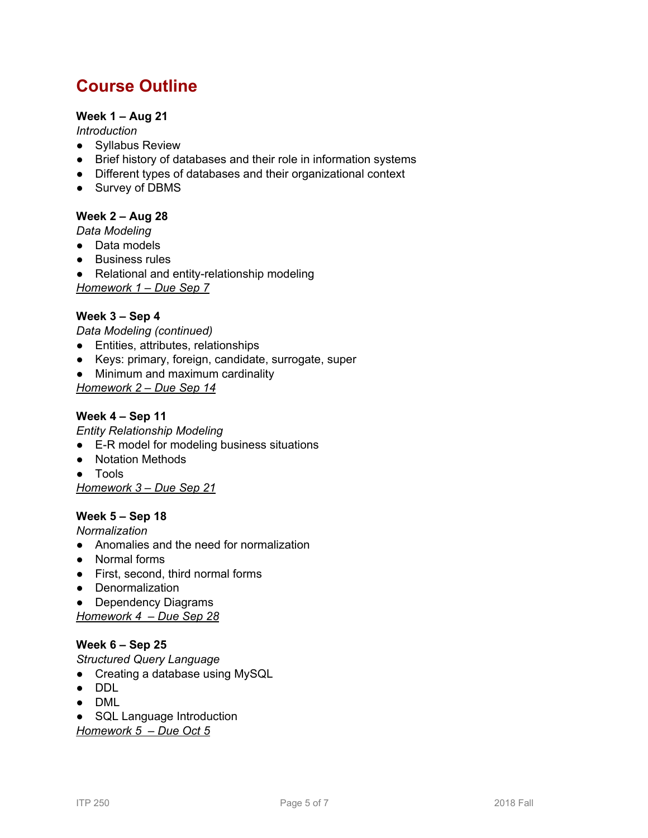# **Course Outline**

### **Week 1 – Aug 21**

*Introduction*

- Syllabus Review
- Brief history of databases and their role in information systems
- Different types of databases and their organizational context
- Survey of DBMS

### **Week 2 – Aug 28**

*Data Modeling*

- Data models
- Business rules
- Relational and entity-relationship modeling *Homework 1 – Due Sep 7*

### **Week 3 – Sep 4**

*Data Modeling (continued)*

- Entities, attributes, relationships
- Keys: primary, foreign, candidate, surrogate, super
- Minimum and maximum cardinality

*Homework 2 – Due Sep 14*

### **Week 4 – Sep 11**

*Entity Relationship Modeling*

- E-R model for modeling business situations
- Notation Methods
- Tools

*Homework 3 – Due Sep 21*

### **Week 5 – Sep 18**

*Normalization*

- Anomalies and the need for normalization
- Normal forms
- First, second, third normal forms
- Denormalization
- Dependency Diagrams

*Homework 4 – Due Sep 28*

#### **Week 6 – Sep 25**

*Structured Query Language*

- Creating a database using MySQL
- DDL
- DML
- SQL Language Introduction

*Homework 5 – Due Oct 5*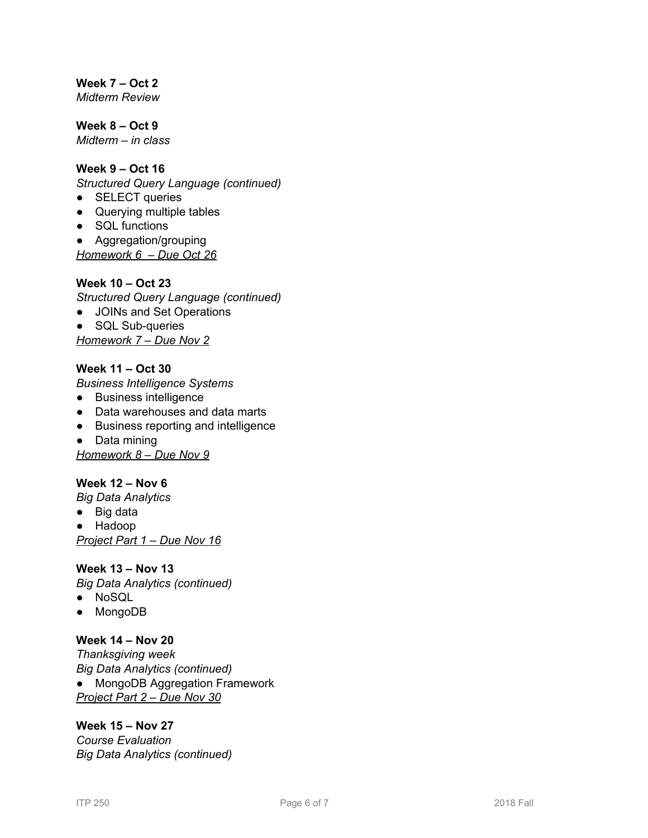**Week 7 – Oct 2** *Midterm Review*

**Week 8 – Oct 9** *Midterm – in class*

### **Week 9 – Oct 16**

*Structured Query Language (continued)*

- **SELECT** queries
- Querying multiple tables
- SQL functions

● Aggregation/grouping

*Homework 6 – Due Oct 26*

#### **Week 10 – Oct 23**

*Structured Query Language (continued)*

- JOINs and Set Operations
- SQL Sub-queries

*Homework 7 – Due Nov 2*

### **Week 11 – Oct 30**

*Business Intelligence Systems*

- Business intelligence
- Data warehouses and data marts
- Business reporting and intelligence
- Data mining

*Homework 8 – Due Nov 9*

### **Week 12 – Nov 6**

*Big Data Analytics*

- Big data
- Hadoop

*Project Part 1 – Due Nov 16*

### **Week 13 – Nov 13**

*Big Data Analytics (continued)*

- NoSQL
- MongoDB

#### **Week 14 – Nov 20**

*Thanksgiving week Big Data Analytics (continued)* ● MongoDB Aggregation Framework *Project Part 2 – Due Nov 30*

### **Week 15 – Nov 27**

*Course Evaluation Big Data Analytics (continued)*